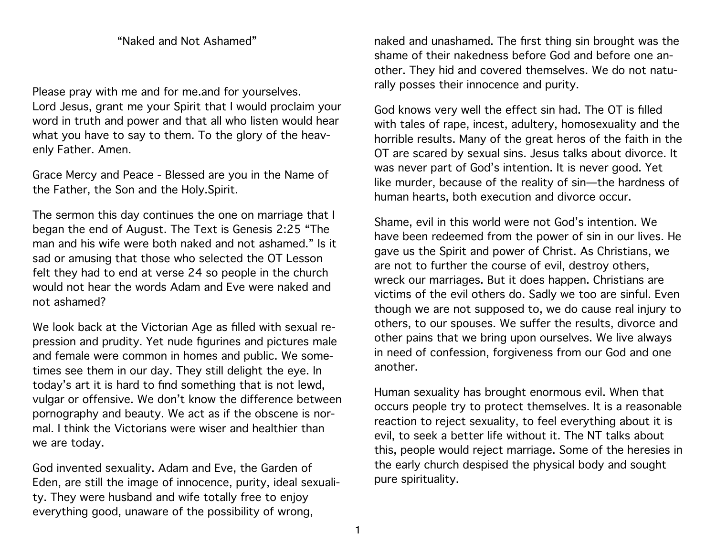## "Naked and Not Ashamed"

Please pray with me and for me.and for yourselves. Lord Jesus, grant me your Spirit that I would proclaim your word in truth and power and that all who listen would hear what you have to say to them. To the glory of the heavenly Father. Amen.

Grace Mercy and Peace - Blessed are you in the Name of the Father, the Son and the Holy.Spirit.

The sermon this day continues the one on marriage that I began the end of August. The Text is Genesis 2:25 "The man and his wife were both naked and not ashamed." Is it sad or amusing that those who selected the OT Lesson felt they had to end at verse 24 so people in the church would not hear the words Adam and Eve were naked and not ashamed?

We look back at the Victorian Age as filled with sexual repression and prudity. Yet nude figurines and pictures male and female were common in homes and public. We sometimes see them in our day. They still delight the eye. In today's art it is hard to find something that is not lewd, vulgar or offensive. We don't know the difference between pornography and beauty. We act as if the obscene is normal. I think the Victorians were wiser and healthier than we are today.

God invented sexuality. Adam and Eve, the Garden of Eden, are still the image of innocence, purity, ideal sexuality. They were husband and wife totally free to enjoy everything good, unaware of the possibility of wrong,

naked and unashamed. The first thing sin brought was the shame of their nakedness before God and before one another. They hid and covered themselves. We do not naturally posses their innocence and purity.

God knows very well the effect sin had. The OT is filled with tales of rape, incest, adultery, homosexuality and the horrible results. Many of the great heros of the faith in the OT are scared by sexual sins. Jesus talks about divorce. It was never part of God's intention. It is never good. Yet like murder, because of the reality of sin—the hardness of human hearts, both execution and divorce occur.

Shame, evil in this world were not God's intention. We have been redeemed from the power of sin in our lives. He gave us the Spirit and power of Christ. As Christians, we are not to further the course of evil, destroy others, wreck our marriages. But it does happen. Christians are victims of the evil others do. Sadly we too are sinful. Even though we are not supposed to, we do cause real injury to others, to our spouses. We suffer the results, divorce and other pains that we bring upon ourselves. We live always in need of confession, forgiveness from our God and one another.

Human sexuality has brought enormous evil. When that occurs people try to protect themselves. It is a reasonable reaction to reject sexuality, to feel everything about it is evil, to seek a better life without it. The NT talks about this, people would reject marriage. Some of the heresies in the early church despised the physical body and sought pure spirituality.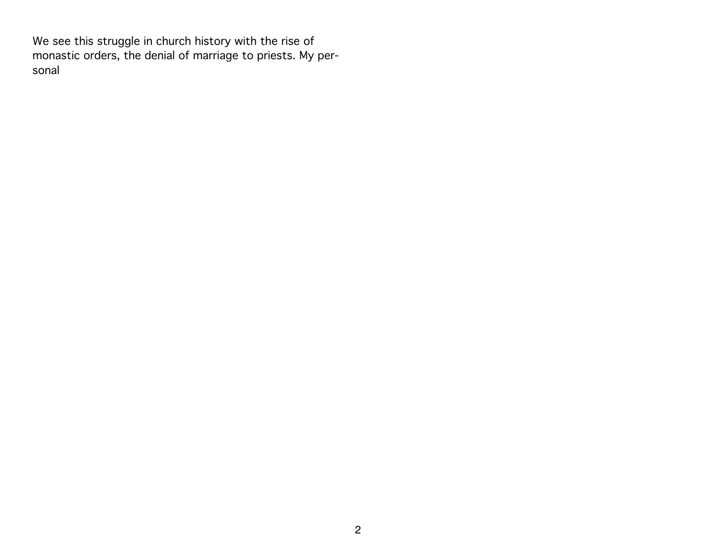We see this struggle in church history with the rise of monastic orders, the denial of marriage to priests. My personal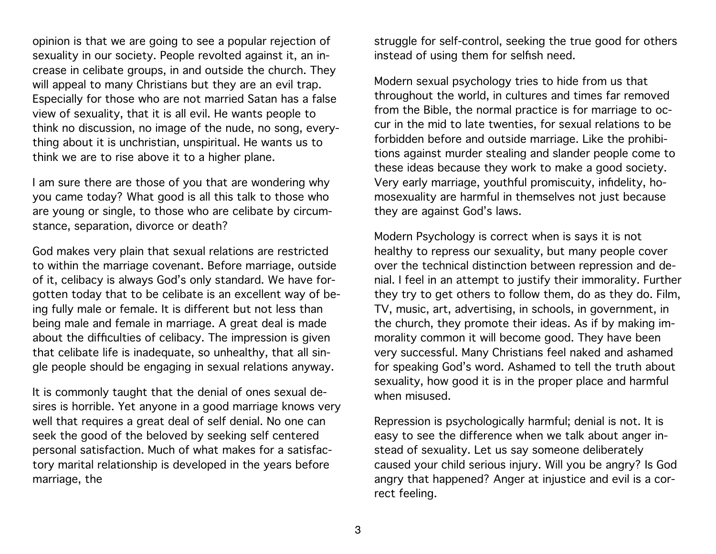opinion is that we are going to see a popular rejection of sexuality in our society. People revolted against it, an increase in celibate groups, in and outside the church. They will appeal to many Christians but they are an evil trap. Especially for those who are not married Satan has a false view of sexuality, that it is all evil. He wants people to think no discussion, no image of the nude, no song, everything about it is unchristian, unspiritual. He wants us to think we are to rise above it to a higher plane.

I am sure there are those of you that are wondering why you came today? What good is all this talk to those who are young or single, to those who are celibate by circumstance, separation, divorce or death?

God makes very plain that sexual relations are restricted to within the marriage covenant. Before marriage, outside of it, celibacy is always God's only standard. We have forgotten today that to be celibate is an excellent way of being fully male or female. It is different but not less than being male and female in marriage. A great deal is made about the difficulties of celibacy. The impression is given that celibate life is inadequate, so unhealthy, that all single people should be engaging in sexual relations anyway.

It is commonly taught that the denial of ones sexual desires is horrible. Yet anyone in a good marriage knows very well that requires a great deal of self denial. No one can seek the good of the beloved by seeking self centered personal satisfaction. Much of what makes for a satisfactory marital relationship is developed in the years before marriage, the

struggle for self-control, seeking the true good for others instead of using them for selfish need.

Modern sexual psychology tries to hide from us that throughout the world, in cultures and times far removed from the Bible, the normal practice is for marriage to occur in the mid to late twenties, for sexual relations to be forbidden before and outside marriage. Like the prohibitions against murder stealing and slander people come to these ideas because they work to make a good society. Very early marriage, youthful promiscuity, infidelity, homosexuality are harmful in themselves not just because they are against God's laws.

Modern Psychology is correct when is says it is not healthy to repress our sexuality, but many people cover over the technical distinction between repression and denial. I feel in an attempt to justify their immorality. Further they try to get others to follow them, do as they do. Film, TV, music, art, advertising, in schools, in government, in the church, they promote their ideas. As if by making immorality common it will become good. They have been very successful. Many Christians feel naked and ashamed for speaking God's word. Ashamed to tell the truth about sexuality, how good it is in the proper place and harmful when misused.

Repression is psychologically harmful; denial is not. It is easy to see the difference when we talk about anger instead of sexuality. Let us say someone deliberately caused your child serious injury. Will you be angry? Is God angry that happened? Anger at injustice and evil is a correct feeling.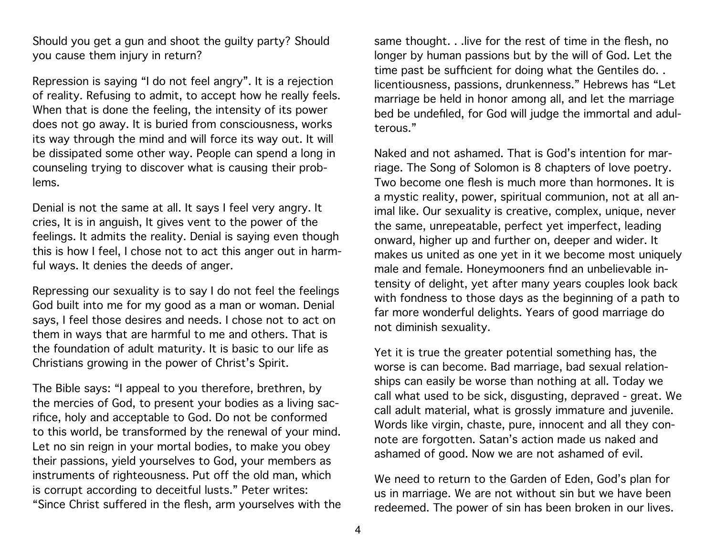Should you get a gun and shoot the guilty party? Should you cause them injury in return?

Repression is saying "I do not feel angry". It is a rejection of reality. Refusing to admit, to accept how he really feels. When that is done the feeling, the intensity of its power does not go away. It is buried from consciousness, works its way through the mind and will force its way out. It will be dissipated some other way. People can spend a long in counseling trying to discover what is causing their problems.

Denial is not the same at all. It says I feel very angry. It cries, It is in anguish, It gives vent to the power of the feelings. It admits the reality. Denial is saying even though this is how I feel, I chose not to act this anger out in harmful ways. It denies the deeds of anger.

Repressing our sexuality is to say I do not feel the feelings God built into me for my good as a man or woman. Denial says, I feel those desires and needs. I chose not to act on them in ways that are harmful to me and others. That is the foundation of adult maturity. It is basic to our life as Christians growing in the power of Christ's Spirit.

The Bible says: "I appeal to you therefore, brethren, by the mercies of God, to present your bodies as a living sacrifice, holy and acceptable to God. Do not be conformed to this world, be transformed by the renewal of your mind. Let no sin reign in your mortal bodies, to make you obey their passions, yield yourselves to God, your members as instruments of righteousness. Put off the old man, which is corrupt according to deceitful lusts." Peter writes: "Since Christ suffered in the flesh, arm yourselves with the

same thought. . .live for the rest of time in the flesh, no longer by human passions but by the will of God. Let the time past be sufficient for doing what the Gentiles do. . licentiousness, passions, drunkenness." Hebrews has "Let marriage be held in honor among all, and let the marriage bed be undefiled, for God will judge the immortal and adulterous."

Naked and not ashamed. That is God's intention for marriage. The Song of Solomon is 8 chapters of love poetry. Two become one flesh is much more than hormones. It is a mystic reality, power, spiritual communion, not at all animal like. Our sexuality is creative, complex, unique, never the same, unrepeatable, perfect yet imperfect, leading onward, higher up and further on, deeper and wider. It makes us united as one yet in it we become most uniquely male and female. Honeymooners find an unbelievable intensity of delight, yet after many years couples look back with fondness to those days as the beginning of a path to far more wonderful delights. Years of good marriage do not diminish sexuality.

Yet it is true the greater potential something has, the worse is can become. Bad marriage, bad sexual relationships can easily be worse than nothing at all. Today we call what used to be sick, disgusting, depraved - great. We call adult material, what is grossly immature and juvenile. Words like virgin, chaste, pure, innocent and all they connote are forgotten. Satan's action made us naked and ashamed of good. Now we are not ashamed of evil.

We need to return to the Garden of Eden, God's plan for us in marriage. We are not without sin but we have been redeemed. The power of sin has been broken in our lives.